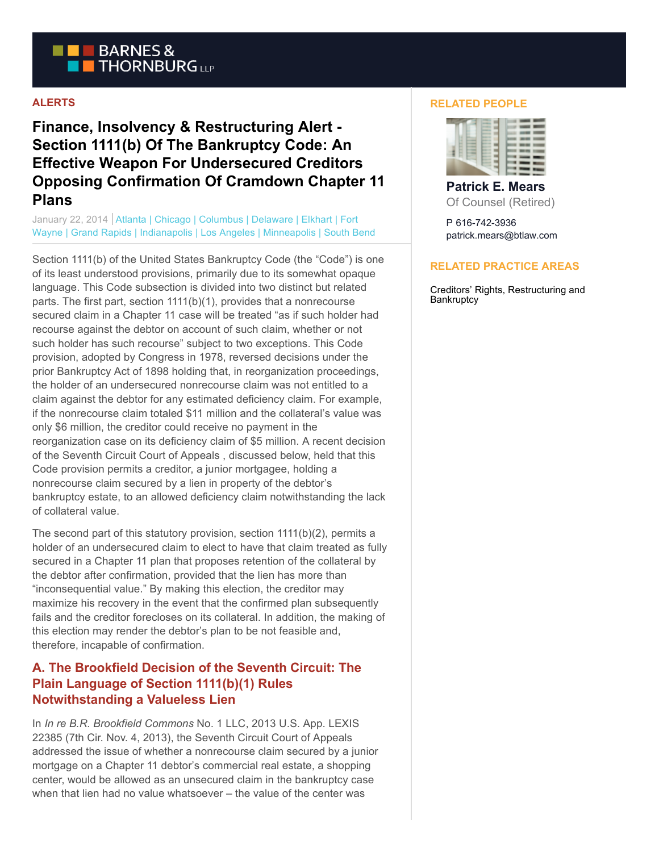

### **ALERTS**

**Finance, Insolvency & Restructuring Alert - Section 1111(b) Of The Bankruptcy Code: An Effective Weapon For Undersecured Creditors Opposing Confirmation Of Cramdown Chapter 11 Plans**

January 22, 2014 | Atlanta | Chicago | Columbus | Delaware | Elkhart | Fort Wayne | Grand Rapids | Indianapolis | Los Angeles | Minneapolis | South Bend

Section 1111(b) of the United States Bankruptcy Code (the "Code") is one of its least understood provisions, primarily due to its somewhat opaque language. This Code subsection is divided into two distinct but related parts. The first part, section 1111(b)(1), provides that a nonrecourse secured claim in a Chapter 11 case will be treated "as if such holder had recourse against the debtor on account of such claim, whether or not such holder has such recourse" subject to two exceptions. This Code provision, adopted by Congress in 1978, reversed decisions under the prior Bankruptcy Act of 1898 holding that, in reorganization proceedings, the holder of an undersecured nonrecourse claim was not entitled to a claim against the debtor for any estimated deficiency claim. For example, if the nonrecourse claim totaled \$11 million and the collateral's value was only \$6 million, the creditor could receive no payment in the reorganization case on its deficiency claim of \$5 million. A recent decision of the Seventh Circuit Court of Appeals , discussed below, held that this Code provision permits a creditor, a junior mortgagee, holding a nonrecourse claim secured by a lien in property of the debtor's bankruptcy estate, to an allowed deficiency claim notwithstanding the lack of collateral value.

The second part of this statutory provision, section 1111(b)(2), permits a holder of an undersecured claim to elect to have that claim treated as fully secured in a Chapter 11 plan that proposes retention of the collateral by the debtor after confirmation, provided that the lien has more than "inconsequential value." By making this election, the creditor may maximize his recovery in the event that the confirmed plan subsequently fails and the creditor forecloses on its collateral. In addition, the making of this election may render the debtor's plan to be not feasible and, therefore, incapable of confirmation.

## **A. The Brookfield Decision of the Seventh Circuit: The Plain Language of Section 1111(b)(1) Rules Notwithstanding a Valueless Lien**

In *In re B.R. Brookfield Commons* No. 1 LLC, 2013 U.S. App. LEXIS 22385 (7th Cir. Nov. 4, 2013), the Seventh Circuit Court of Appeals addressed the issue of whether a nonrecourse claim secured by a junior mortgage on a Chapter 11 debtor's commercial real estate, a shopping center, would be allowed as an unsecured claim in the bankruptcy case when that lien had no value whatsoever – the value of the center was

#### **RELATED PEOPLE**



**Patrick E. Mears** Of Counsel (Retired)

P 616-742-3936 patrick.mears@btlaw.com

#### **RELATED PRACTICE AREAS**

Creditors' Rights, Restructuring and **Bankruptcy**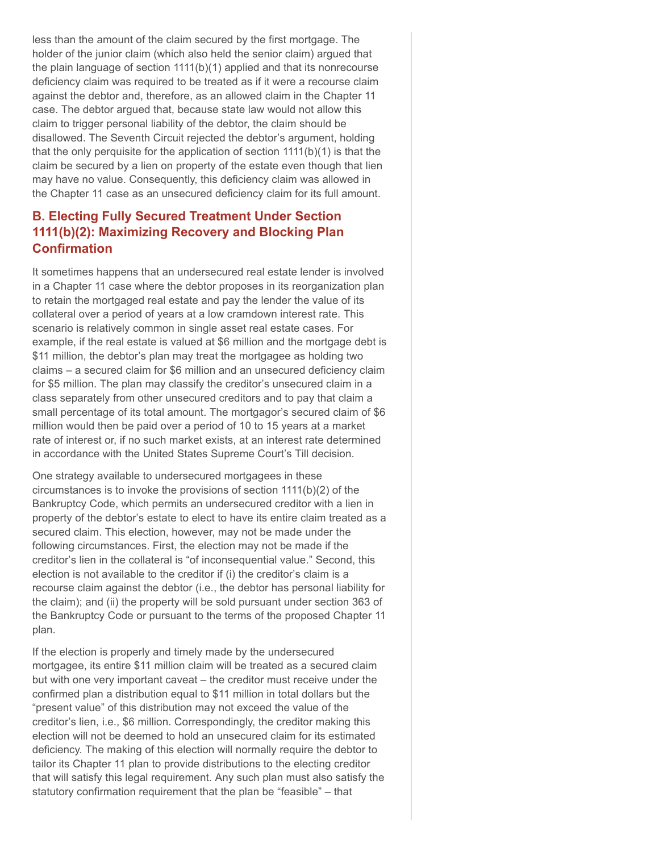less than the amount of the claim secured by the first mortgage. The holder of the junior claim (which also held the senior claim) argued that the plain language of section 1111(b)(1) applied and that its nonrecourse deficiency claim was required to be treated as if it were a recourse claim against the debtor and, therefore, as an allowed claim in the Chapter 11 case. The debtor argued that, because state law would not allow this claim to trigger personal liability of the debtor, the claim should be disallowed. The Seventh Circuit rejected the debtor's argument, holding that the only perquisite for the application of section 1111(b)(1) is that the claim be secured by a lien on property of the estate even though that lien may have no value. Consequently, this deficiency claim was allowed in the Chapter 11 case as an unsecured deficiency claim for its full amount.

# **B. Electing Fully Secured Treatment Under Section 1111(b)(2): Maximizing Recovery and Blocking Plan Confirmation**

It sometimes happens that an undersecured real estate lender is involved in a Chapter 11 case where the debtor proposes in its reorganization plan to retain the mortgaged real estate and pay the lender the value of its collateral over a period of years at a low cramdown interest rate. This scenario is relatively common in single asset real estate cases. For example, if the real estate is valued at \$6 million and the mortgage debt is \$11 million, the debtor's plan may treat the mortgagee as holding two claims – a secured claim for \$6 million and an unsecured deficiency claim for \$5 million. The plan may classify the creditor's unsecured claim in a class separately from other unsecured creditors and to pay that claim a small percentage of its total amount. The mortgagor's secured claim of \$6 million would then be paid over a period of 10 to 15 years at a market rate of interest or, if no such market exists, at an interest rate determined in accordance with the United States Supreme Court's Till decision.

One strategy available to undersecured mortgagees in these circumstances is to invoke the provisions of section 1111(b)(2) of the Bankruptcy Code, which permits an undersecured creditor with a lien in property of the debtor's estate to elect to have its entire claim treated as a secured claim. This election, however, may not be made under the following circumstances. First, the election may not be made if the creditor's lien in the collateral is "of inconsequential value." Second, this election is not available to the creditor if (i) the creditor's claim is a recourse claim against the debtor (i.e., the debtor has personal liability for the claim); and (ii) the property will be sold pursuant under section 363 of the Bankruptcy Code or pursuant to the terms of the proposed Chapter 11 plan.

If the election is properly and timely made by the undersecured mortgagee, its entire \$11 million claim will be treated as a secured claim but with one very important caveat – the creditor must receive under the confirmed plan a distribution equal to \$11 million in total dollars but the "present value" of this distribution may not exceed the value of the creditor's lien, i.e., \$6 million. Correspondingly, the creditor making this election will not be deemed to hold an unsecured claim for its estimated deficiency. The making of this election will normally require the debtor to tailor its Chapter 11 plan to provide distributions to the electing creditor that will satisfy this legal requirement. Any such plan must also satisfy the statutory confirmation requirement that the plan be "feasible" – that